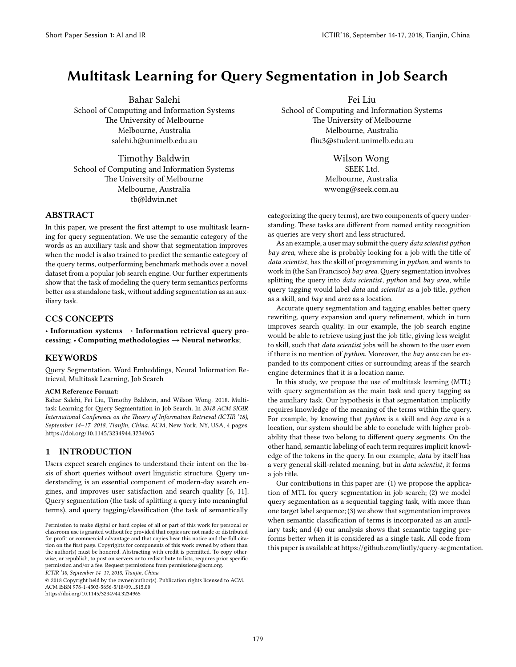# **Multitask Learning for Query Segmentation in Job Search**

Bahar Salehi School of Computing and Information Systems The University of Melbourne Melbourne, Australia salehi.b@unimelb.edu.au

Timothy Baldwin School of Computing and Information Systems The University of Melbourne Melbourne, Australia tb@ldwin.net

# **ABSTRACT**

In this paper, we present the first attempt to use multitask learning for query segmentation. We use the semantic category of the words as an auxiliary task and show that segmentation improves when the model is also trained to predict the semantic category of the query terms, outperforming benchmark methods over a novel dataset from a popular job search engine. Our further experiments show that the task of modeling the query term semantics performs better as a standalone task, without adding segmentation as an auxiliary task.

# **CCS CONCEPTS**

• **Information systems** → **Information retrieval query processing**; • **Computing methodologies** → **Neural networks**;

## **KEYWORDS**

Query Segmentation, Word Embeddings, Neural Information Retrieval, Multitask Learning, Job Search

#### **ACM Reference Format:**

Bahar Salehi, Fei Liu, Timothy Baldwin, and Wilson Wong. 2018. Multitask Learning for Query Segmentation in Job Search. In *2018 ACM SIGIR International Conference on the Theory of Information Retrieval (ICTIR '18), September 14–17, 2018, Tianjin, China.* ACM, New York, NY, USA, [4](#page-3-0) pages. <https://doi.org/10.1145/3234944.3234965>

# **1 INTRODUCTION**

Users expect search engines to understand their intent on the basis of short queries without overt linguistic structure. Query understanding is an essential component of modern-day search engines, and improves user satisfaction and search quality [\[6,](#page-3-1) [11](#page-3-2)]. Query segmentation (the task of splitting a query into meaningful terms), and query tagging/classification (the task of semantically

*ICTIR '18, September 14–17, 2018, Tianjin, China*

© 2018 Copyright held by the owner/author(s). Publication rights licensed to ACM. ACM ISBN 978-1-4503-5656-5/18/09…\$15.00 <https://doi.org/10.1145/3234944.3234965>

Fei Liu School of Computing and Information Systems The University of Melbourne Melbourne, Australia fliu3@student.unimelb.edu.au

> Wilson Wong SEEK Ltd. Melbourne, Australia wwong@seek.com.au

categorizing the query terms), are two components of query understanding. These tasks are different from named entity recognition as queries are very short and less structured.

As an example, a user may submit the query *data scientist python bay area*, where she is probably looking for a job with the title of *data scientist*, has the skill of programming in *python*, and wants to work in (the San Francisco) *bay area*. Query segmentation involves splitting the query into *data scientist*, *python* and *bay area*, while query tagging would label *data* and *scientist* as a job title, *python* as a skill, and *bay* and *area* as a location.

Accurate query segmentation and tagging enables better query rewriting, query expansion and query refinement, which in turn improves search quality. In our example, the job search engine would be able to retrieve using just the job title, giving less weight to skill, such that *data scientist* jobs will be shown to the user even if there is no mention of *python*. Moreover, the *bay area* can be expanded to its component cities or surrounding areas if the search engine determines that it is a location name.

In this study, we propose the use of multitask learning (MTL) with query segmentation as the main task and query tagging as the auxiliary task. Our hypothesis is that segmentation implicitly requires knowledge of the meaning of the terms within the query. For example, by knowing that *python* is a skill and *bay area* is a location, our system should be able to conclude with higher probability that these two belong to different query segments. On the other hand, semantic labeling of each term requires implicit knowledge of the tokens in the query. In our example, *data* by itself has a very general skill-related meaning, but in *data scientist*, it forms a job title.

Our contributions in this paper are: (1) we propose the application of MTL for query segmentation in job search; (2) we model query segmentation as a sequential tagging task, with more than one target label sequence; (3) we show that segmentation improves when semantic classification of terms is incorporated as an auxiliary task; and (4) our analysis shows that semantic tagging preforms better when it is considered as a single task. All code from this paper is available at<https://github.com/liufly/query-segmentation>.

179

Permission to make digital or hard copies of all or part of this work for personal or classroom use is granted without fee provided that copies are not made or distributed for profit or commercial advantage and that copies bear this notice and the full citation on the first page. Copyrights for components of this work owned by others than the author(s) must be honored. Abstracting with credit is permitted. To copy otherwise, or republish, to post on servers or to redistribute to lists, requires prior specific permission and/or a fee. Request permissions from permissions@acm.org.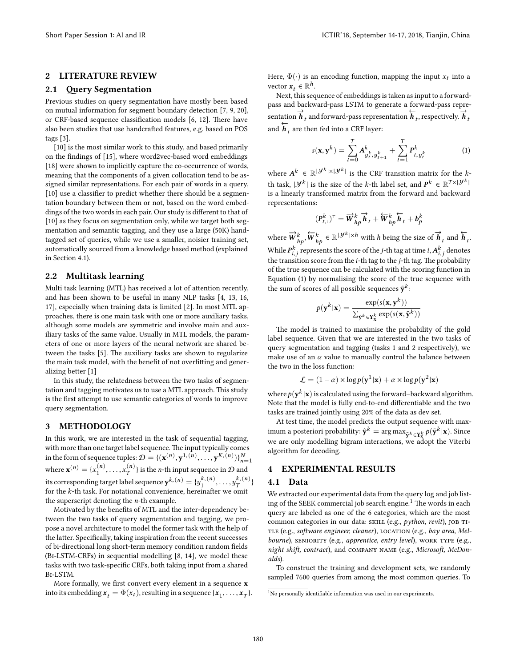# **2 LITERATURE REVIEW**

## **2.1 Query Segmentation**

Previous studies on query segmentation have mostly been based on mutual information for segment boundary detection [\[7](#page-3-3), [9](#page-3-4), [20\]](#page-3-5), or CRF-based sequence classification models[[6,](#page-3-1) [12](#page-3-6)]. There have also been studies that use handcrafted features, e.g. based on POS tags [\[3](#page-3-7)].

[[10](#page-3-8)] is the most similar work to this study, and based primarily on the findings of [\[15\]](#page-3-9), where word2vec-based word embeddings [[18](#page-3-10)] were shown to implicitly capture the co-occurrence of words, meaning that the components of a given collocation tend to be assigned similar representations. For each pair of words in a query, [[10](#page-3-8)] use a classifier to predict whether there should be a segmentation boundary between them or not, based on the word embeddings of the two words in each pair. Our study is different to that of [[10](#page-3-8)] as they focus on segmentation only, while we target both segmentation and semantic tagging, and they use a large (50K) handtagged set of queries, while we use a smaller, noisier training set, automatically sourced from a knowledge based method (explained in Section [4.1\)](#page-1-0).

## **2.2 Multitask learning**

Multi task learning (MTL) has received a lot of attention recently, and has been shown to be useful in many NLP tasks[[4,](#page-3-11) [13](#page-3-12), [16](#page-3-13), [17](#page-3-14)], especially when training data is limited [\[2](#page-3-15)]. In most MTL approaches, there is one main task with one or more auxiliary tasks, although some models are symmetric and involve main and auxiliary tasks of the same value. Usually in MTL models, the parameters of one or more layers of the neural network are shared between the tasks[[5](#page-3-16)]. The auxiliary tasks are shown to regularize the main task model, with the benefit of not overfitting and generalizing better [\[1](#page-3-17)]

In this study, the relatedness between the two tasks of segmentation and tagging motivates us to use a MTL approach. This study is the first attempt to use semantic categories of words to improve query segmentation.

#### **3 METHODOLOGY**

In this work, we are interested in the task of sequential tagging, with more than one target label sequence.The input typically comes in the form of sequence tuples:  $\mathcal{D} = \{(\mathbf{x}^{(n)}, \mathbf{y}^{1,(n)}, \dots, \mathbf{y}^{K,(n)})\}_{n=1}^{N}$ where  $\mathbf{x}^{(n)} = {x_1^{(n)}, \dots, x_T^{(n)}}$  $\binom{n}{T}$  is the *n*-th input sequence in  $D$  and its corresponding target label sequence  $\mathbf{y}^{k,(n)} = \{y_1^{k,(n)}, \ldots, y_T^{k,(n)}\}$  $\binom{\kappa, (n)}{T}$ for the *k*-th task. For notational convenience, hereinafter we omit the superscript denoting the *n*-th example.

Motivated by the benefits of MTL and the inter-dependency between the two tasks of query segmentation and tagging, we propose a novel architecture to model the former task with the help of the latter. Specifically, taking inspiration from the recent successes of bi-directional long short-term memory condition random fields (Bi-LSTM-CRFs) in sequential modelling [\[8](#page-3-18), [14\]](#page-3-19), we model these tasks with two task-specific CRFs, both taking input from a shared Bi-LSTM.

More formally, we first convert every element in a sequence **x** into its embedding  $\mathbf{x}_t = \Phi(x_t)$ , resulting in a sequence  $\{\mathbf{x}_1, \dots, \mathbf{x}_T\}$ . Here,  $\Phi(\cdot)$  is an encoding function, mapping the input  $x_t$  into a vector  $\mathbf{x}_t \in \mathbb{R}^h$ .

Next, this sequence of embeddings is taken as input to a forwardpass and backward-pass LSTM to generate a forward-pass representation  $\overrightarrow{h}_t$  and forward-pass representation  $\overrightarrow{h}_t$ , respectively.  $\overrightarrow{h}_t$ and  $\overleftarrow{h}_t$  are then fed into a CRF layer:

<span id="page-1-1"></span>
$$
s(\mathbf{x}, \mathbf{y}^k) = \sum_{t=0}^T A_{y_t^k, y_{t+1}^k}^k + \sum_{t=1}^T P_{t, y_t^k}^k
$$
 (1)

where  $A^k \in \mathbb{R}^{|\mathcal{Y}^k| \times |\mathcal{Y}^k|}$  is the CRF transition matrix for the *k*-| th task,  $|\mathcal{Y}^k|$  is the size of the *k*-th label set, and  $P^k \in \mathbb{R}^{T \times |\mathcal{Y}^k|}$ | is a linearly transformed matrix from the forward and backward representations:

$$
(P_{t,:}^k)^{\top} = \overrightarrow{W}_{hp}^k \overrightarrow{h}_t + \overleftarrow{W}_{hp}^k \overleftarrow{h}_t + b_p^k
$$

where  $\overrightarrow{W}_{hp}^k, \overleftarrow{W}_{hp}^k \in \mathbb{R}^{\vert \mathcal{Y}^k \vert \times h}$  with *h* being the size of  $\overrightarrow{h}_t$  and  $\overleftarrow{h}_t$ . While  $P_{i,j}^k$  represents the score of the *j*-th tag at time *i*,  $A_{i,j}^k$  denotes the transition score from the *i*-th tag to the *j*-th tag. The probability of the true sequence can be calculated with the scoring function in Equation([1\)](#page-1-1) by normalising the score of the true sequence with the sum of scores of all possible sequences  $\tilde{\mathbf{y}}^k$ :

$$
p(\mathbf{y}^k|\mathbf{x}) = \frac{\exp(s(\mathbf{x}, \mathbf{y}^k))}{\sum_{\tilde{\mathbf{y}}^k \in \mathbf{Y}_{\mathbf{X}}^k} \exp(s(\mathbf{x}, \tilde{\mathbf{y}}^k))}
$$

The model is trained to maximise the probability of the gold label sequence. Given that we are interested in the two tasks of query segmentation and tagging (tasks 1 and 2 respectively), we make use of an  $\alpha$  value to manually control the balance between the two in the loss function:

$$
\mathcal{L} = (1 - \alpha) \times \log p(\mathbf{y}^1 | \mathbf{x}) + \alpha \times \log p(\mathbf{y}^2 | \mathbf{x})
$$

where  $p(\mathbf{y}^k|\mathbf{x})$  is calculated using the forward–backward algorithm. Note that the model is fully end-to-end differentiable and the two tasks are trained jointly using 20% of the data as dev set.

At test time, the model predicts the output sequence with maximum a posteriori probability:  $\hat{\mathbf{y}}^k = \argmax_{\tilde{\mathbf{y}}^k \in \mathbf{Y}_\mathbf{x}^k} p(\tilde{\mathbf{y}}^k|\mathbf{x}).$  Since we are only modelling bigram interactions, we adopt the Viterbi algorithm for decoding.

#### **4 EXPERIMENTAL RESULTS**

## <span id="page-1-0"></span>**4.1 Data**

We extracted our experimental data from the query log and job list-ing of the SEEK commercial job search engine.<sup>[1](#page-1-2)</sup> The words in each query are labeled as one of the 6 categories, which are the most common categories in our data: skill (e.g., *python, revit*), job ti-TLE (e.g., *software engineer, cleaner*), LOCATION (e.g., *bay area, Mel*bourne), SENIORITY (e.g., *apprentice, entry level*), WORK TYPE (e.g., *night shift, contract*), and company name (e.g., *Microsoft, McDonalds*).

To construct the training and development sets, we randomly sampled 7600 queries from among the most common queries. To

<span id="page-1-2"></span> $1$ No personally identifiable information was used in our experiments.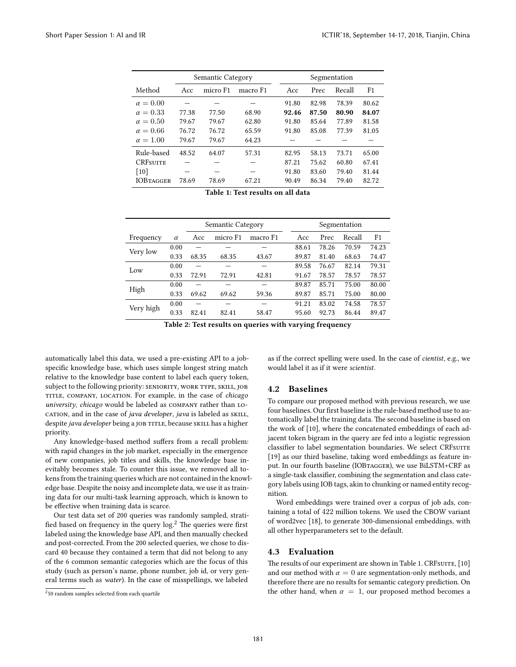<span id="page-2-1"></span>

|                  |       | Semantic Category |          | Segmentation |       |        |                |  |
|------------------|-------|-------------------|----------|--------------|-------|--------|----------------|--|
| Method           | Acc   | micro F1          | macro F1 | Acc          | Prec  | Recall | F <sub>1</sub> |  |
| $\alpha = 0.00$  |       |                   |          | 91.80        | 82.98 | 78.39  | 80.62          |  |
| $\alpha = 0.33$  | 77.38 | 77.50             | 68.90    | 92.46        | 87.50 | 80.90  | 84.07          |  |
| $\alpha = 0.50$  | 79.67 | 79.67             | 62.80    | 91.80        | 85.64 | 77.89  | 81.58          |  |
| $\alpha = 0.66$  | 76.72 | 76.72             | 65.59    | 91.80        | 85.08 | 77.39  | 81.05          |  |
| $\alpha = 1.00$  | 79.67 | 79.67             | 64.23    |              |       |        |                |  |
| Rule-based       | 48.52 | 64.07             | 57.31    | 82.95        | 58.13 | 73.71  | 65.00          |  |
| <b>CRESUITE</b>  |       |                   |          | 87.21        | 75.62 | 60.80  | 67.41          |  |
| $[10]$           |       |                   |          | 91.80        | 83.60 | 79.40  | 81.44          |  |
| <b>IOBTAGGER</b> | 78.69 | 78.69             | 67.21    | 90.49        | 86.34 | 79.40  | 82.72          |  |

**Table 1: Test results on all data**

<span id="page-2-2"></span>

|           |          | Semantic Category |          |          |  | Segmentation |       |        |                |  |
|-----------|----------|-------------------|----------|----------|--|--------------|-------|--------|----------------|--|
| Frequency | $\alpha$ | Acc               | micro F1 | macro F1 |  | Acc          | Prec  | Recall | F <sub>1</sub> |  |
| Very low  | 0.00     |                   |          |          |  | 88.61        | 78.26 | 70.59  | 74.23          |  |
|           | 0.33     | 68.35             | 68.35    | 43.67    |  | 89.87        | 81.40 | 68.63  | 74.47          |  |
| Low       | 0.00     |                   |          |          |  | 89.58        | 76.67 | 82.14  | 79.31          |  |
|           | 0.33     | 72.91             | 72.91    | 42.81    |  | 91.67        | 78.57 | 78.57  | 78.57          |  |
| High      | 0.00     |                   |          |          |  | 89.87        | 85.71 | 75.00  | 80.00          |  |
|           | 0.33     | 69.62             | 69.62    | 59.36    |  | 89.87        | 85.71 | 75.00  | 80.00          |  |
| Very high | 0.00     |                   |          |          |  | 91.21        | 83.02 | 74.58  | 78.57          |  |
|           | 0.33     | 82.41             | 82.41    | 58.47    |  | 95.60        | 92.73 | 86.44  | 89.47          |  |

**Table 2: Test results on queries with varying frequency**

automatically label this data, we used a pre-existing API to a jobspecific knowledge base, which uses simple longest string match relative to the knowledge base content to label each query token, subject to the following priority: SENIORITY, WORK TYPE, SKILL, JOB title, company, location. For example, in the case of *chicago university*, *chicago* would be labeled as company rather than location, and in the case of *java developer*, *java* is labeled as SKILL, despite *java developer* being a job TITLE, because SKILL has a higher priority.

Any knowledge-based method suffers from a recall problem: with rapid changes in the job market, especially in the emergence of new companies, job titles and skills, the knowledge base inevitably becomes stale. To counter this issue, we removed all tokens from the training queries which are not contained in the knowledge base. Despite the noisy and incomplete data, we use it as training data for our multi-task learning approach, which is known to be effective when training data is scarce.

Our test data set of 200 queries was randomly sampled, stratified based on frequency in the query log.[2](#page-2-0) The queries were first labeled using the knowledge base API, and then manually checked and post-corrected. From the 200 selected queries, we chose to discard 40 because they contained a term that did not belong to any of the 6 common semantic categories which are the focus of this study (such as person's name, phone number, job id, or very general terms such as *water*). In the case of misspellings, we labeled

as if the correct spelling were used. In the case of *cientist*, e.g., we would label it as if it were *scientist*.

# **4.2 Baselines**

To compare our proposed method with previous research, we use four baselines. Our first baseline is the rule-based method use to automatically label the training data. The second baseline is based on the work of[[10\]](#page-3-8), where the concatenated embeddings of each adjacent token bigram in the query are fed into a logistic regression classifier to label segmentation boundaries. We select CRFsuITE [\[19](#page-3-20)] as our third baseline, taking word embeddings as feature input. In our fourth baseline (IOBTAGGER), we use BiLSTM+CRF as a single-task classifier, combining the segmentation and class category labels using IOB tags, akin to chunking or named entity recognition.

Word embeddings were trained over a corpus of job ads, containing a total of 422 million tokens. We used the CBOW variant of word2vec [\[18\]](#page-3-10), to generate 300-dimensional embeddings, with all other hyperparameters set to the default.

# **4.3 Evaluation**

The results of our experiment are shown in Table [1.](#page-2-1)CRFsuITE, [[10](#page-3-8)] and our method with  $\alpha = 0$  are segmentation-only methods, and therefore there are no results for semantic category prediction. On the other hand, when  $\alpha = 1$ , our proposed method becomes a

<span id="page-2-0"></span><sup>&</sup>lt;sup>2</sup>50 random samples selected from each quartile